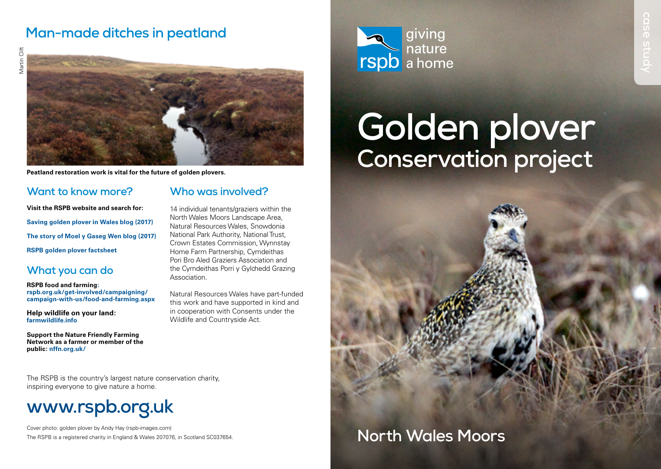## **Man-made ditches in peatland**



**Peatland restoration work is vital for the future of golden plovers.**

### **Want to know more?**

#### **Who was involved?**

**Visit the RSPB website and search for: Saving golden plover in Wales blog (2017) The story of Moel y Gaseg Wen blog (2017) RSPB golden plover factsheet**

### **What you can do**

**RSPB food and farming: [rspb.org.uk/get-involved/campaigning/](http://rspb.org.uk/get-involved/campaigning/campaign-with-us/food-and-farming.aspx) [campaign-with-us/food-and-farming.aspx](http://rspb.org.uk/get-involved/campaigning/campaign-with-us/food-and-farming.aspx)**

**Help wildlife on your land: [farmwildlife.info](http://farmwildlife.info)**

**Support the Nature Friendly Farming Network as a farmer or member of the public: [nffn.org.uk/](https://www.nffn.org.uk)**

North Wales Moors Landscape Area, Natural Resources Wales, Snowdonia National Park Authority, National Trust, Crown Estates Commission, Wynnstay Home Farm Partnership, Cymdeithas Pori Bro Aled Graziers Association and the Cymdeithas Porri y Gylchedd Grazing Association.

14 individual tenants/graziers within the

Natural Resources Wales have part-funded this work and have supported in kind and in cooperation with Consents under the Wildlife and Countryside Act.

The RSPB is the country's largest nature conservation charity, inspiring everyone to give nature a home.

# **[www.rspb.org.uk](http://www.rspb.org.uk)**

Cover photo: golden plover by Andy Hay (rspb-images.com) The RSPB is a registered charity in England & Wales 207076, in Scotland SC037654.



# **Golden plover Conservation project**

# **North Wales Moors**